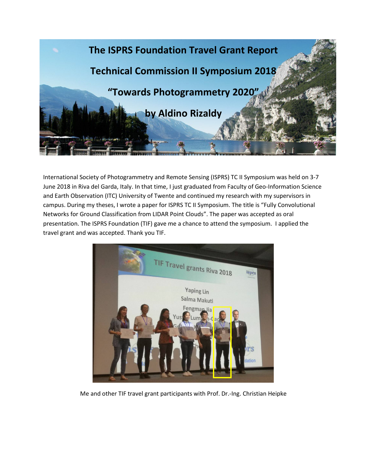

International Society of Photogrammetry and Remote Sensing (ISPRS) TC II Symposium was held on 3-7 June 2018 in Riva del Garda, Italy. In that time, I just graduated from Faculty of Geo-Information Science and Earth Observation (ITC) University of Twente and continued my research with my supervisors in campus. During my theses, I wrote a paper for ISPRS TC II Symposium. The title is "Fully Convolutional Networks for Ground Classification from LIDAR Point Clouds". The paper was accepted as oral presentation. The ISPRS Foundation (TIF) gave me a chance to attend the symposium. I applied the travel grant and was accepted. Thank you TIF.



Me and other TIF travel grant participants with Prof. Dr.-Ing. Christian Heipke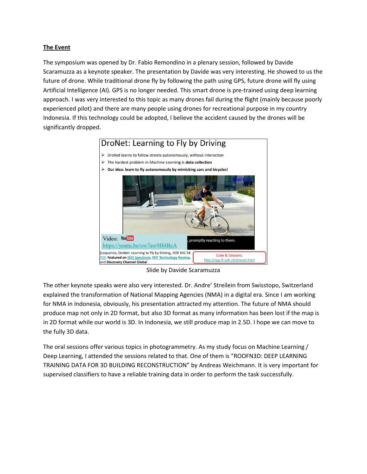## **The Event**

The symposium was opened by Dr. Fabio Remondino in a plenary session, followed by Davide Scaramuzza as a keynote speaker. The presentation by Davide was very interesting. He showed to us the future of drone. While traditional drone fly by following the path using GPS, future drone will fly using Artificial Intelligence (AI). GPS is no longer needed. This smart drone is pre-trained using deep learning approach. I was very interested to this topic as many drones fail during the flight (mainly because poorly experienced pilot) and there are many people using drones for recreational purpose in my country Indonesia. If this technology could be adopted, I believe the accident caused by the drones will be significantly dropped.



Slide by Davide Scaramuzza

The other keynote speaks were also very interested. Dr. Andre' Streilein from Swisstopo, Switzerland explained the transformation of National Mapping Agencies (NMA) in a digital era. Since I am working for NMA in Indonesia, obviously, his presentation attracted my attention. The future of NMA should produce map not only in 2D format, but also 3D format as many information has been lost if the map is in 2D format while our world is 3D. In Indonesia, we still produce map in 2.5D. I hope we can move to the fully 3D data.

The oral sessions offer various topics in photogrammetry. As my study focus on Machine Learning / Deep Learning, I attended the sessions related to that. One of them is "ROOFN3D: DEEP LEARNING TRAINING DATA FOR 3D BUILDING RECONSTRUCTION" by Andreas Weichmann. It is very important for supervised classifiers to have a reliable training data in order to perform the task successfully.